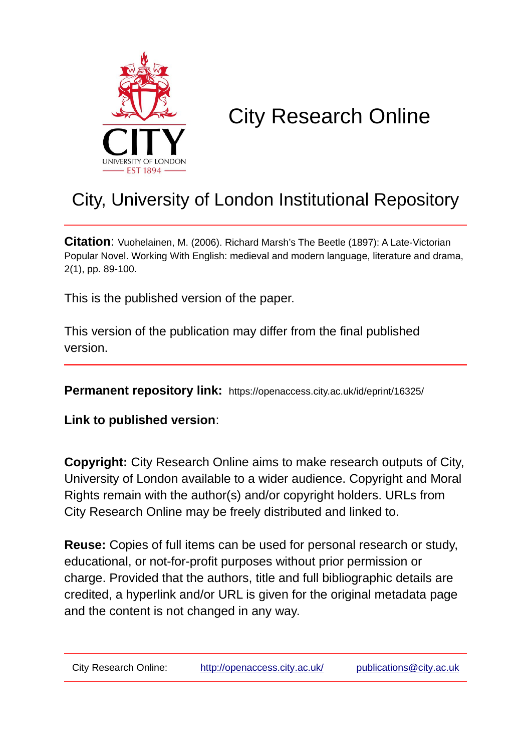

# City Research Online

# City, University of London Institutional Repository

**Citation**: Vuohelainen, M. (2006). Richard Marsh's The Beetle (1897): A Late-Victorian Popular Novel. Working With English: medieval and modern language, literature and drama, 2(1), pp. 89-100.

This is the published version of the paper.

This version of the publication may differ from the final published version.

**Permanent repository link:** https://openaccess.city.ac.uk/id/eprint/16325/

**Link to published version**:

**Copyright:** City Research Online aims to make research outputs of City, University of London available to a wider audience. Copyright and Moral Rights remain with the author(s) and/or copyright holders. URLs from City Research Online may be freely distributed and linked to.

**Reuse:** Copies of full items can be used for personal research or study, educational, or not-for-profit purposes without prior permission or charge. Provided that the authors, title and full bibliographic details are credited, a hyperlink and/or URL is given for the original metadata page and the content is not changed in any way.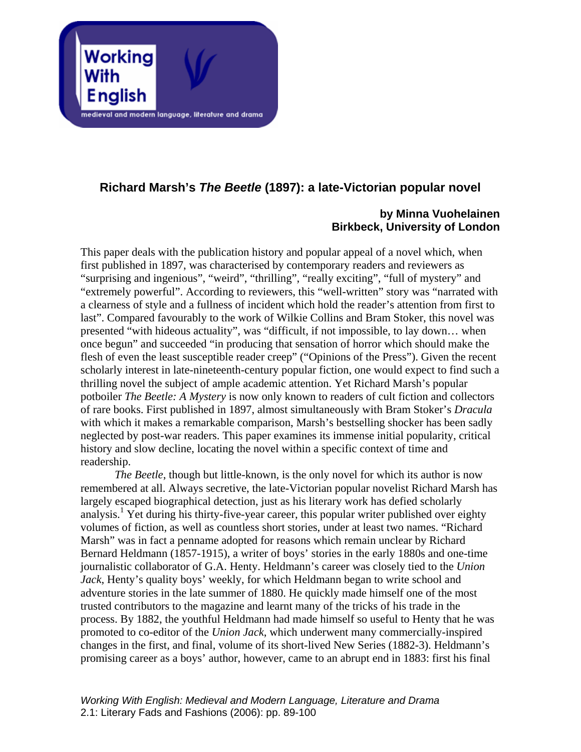

## **Richard Marsh's** *The Beetle* **(1897): a late-Victorian popular novel**

### **by Minna Vuohelainen Birkbeck, University of London**

This paper deals with the publication history and popular appeal of a novel which, when first published in 1897, was characterised by contemporary readers and reviewers as "surprising and ingenious", "weird", "thrilling", "really exciting", "full of mystery" and "extremely powerful". According to reviewers, this "well-written" story was "narrated with a clearness of style and a fullness of incident which hold the reader's attention from first to last". Compared favourably to the work of Wilkie Collins and Bram Stoker, this novel was presented "with hideous actuality", was "difficult, if not impossible, to lay down… when once begun" and succeeded "in producing that sensation of horror which should make the flesh of even the least susceptible reader creep" ("Opinions of the Press"). Given the recent scholarly interest in late-nineteenth-century popular fiction, one would expect to find such a thrilling novel the subject of ample academic attention. Yet Richard Marsh's popular potboiler *The Beetle: A Mystery* is now only known to readers of cult fiction and collectors of rare books. First published in 1897, almost simultaneously with Bram Stoker's *Dracula* with which it makes a remarkable comparison, Marsh's bestselling shocker has been sadly neglected by post-war readers. This paper examines its immense initial popularity, critical history and slow decline, locating the novel within a specific context of time and readership.

*The Beetle*, though but little-known, is the only novel for which its author is now remembered at all. Always secretive, the late-Victorian popular novelist Richard Marsh has largely escaped biographical detection, just as his literary work has defied scholarly analysis.<sup>[1](#page-10-0)</sup> Yet during his thirty-five-year career, this popular writer published over eighty volumes of fiction, as well as countless short stories, under at least two names. "Richard Marsh" was in fact a penname adopted for reasons which remain unclear by Richard Bernard Heldmann (1857-1915), a writer of boys' stories in the early 1880s and one-time journalistic collaborator of G.A. Henty. Heldmann's career was closely tied to the *Union Jack*, Henty's quality boys' weekly, for which Heldmann began to write school and adventure stories in the late summer of 1880. He quickly made himself one of the most trusted contributors to the magazine and learnt many of the tricks of his trade in the process. By 1882, the youthful Heldmann had made himself so useful to Henty that he was promoted to co-editor of the *Union Jack*, which underwent many commercially-inspired changes in the first, and final, volume of its short-lived New Series (1882-3). Heldmann's promising career as a boys' author, however, came to an abrupt end in 1883: first his final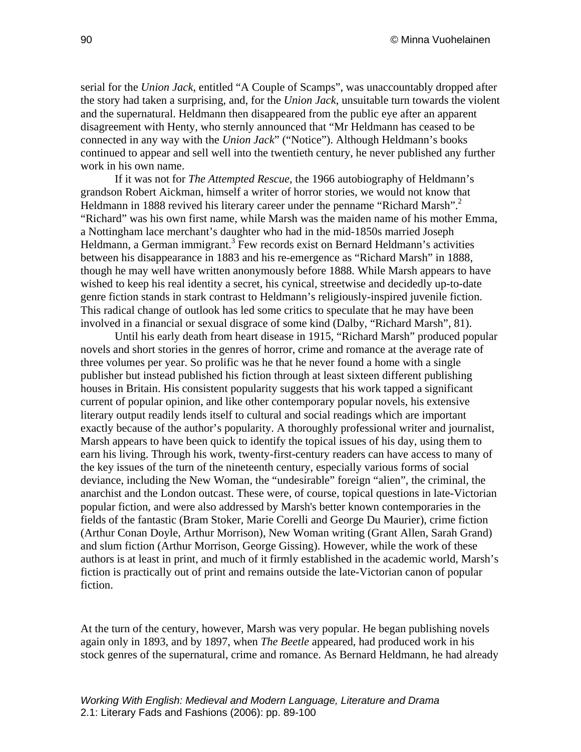serial for the *Union Jack*, entitled "A Couple of Scamps", was unaccountably dropped after the story had taken a surprising, and, for the *Union Jack*, unsuitable turn towards the violent and the supernatural. Heldmann then disappeared from the public eye after an apparent disagreement with Henty, who sternly announced that "Mr Heldmann has ceased to be connected in any way with the *Union Jack*" ("Notice"). Although Heldmann's books continued to appear and sell well into the twentieth century, he never published any further work in his own name.

If it was not for *The Attempted Rescue*, the 1966 autobiography of Heldmann's grandson Robert Aickman, himself a writer of horror stories, we would not know that Heldmann in 1888 revived his literary career under the penname "Richard Marsh".<sup>[2](#page-10-1)</sup> "Richard" was his own first name, while Marsh was the maiden name of his mother Emma, a Nottingham lace merchant's daughter who had in the mid-1850s married Joseph Heldmann, a German immigrant.<sup>[3](#page-10-2)</sup> Few records exist on Bernard Heldmann's activities between his disappearance in 1883 and his re-emergence as "Richard Marsh" in 1888, though he may well have written anonymously before 1888. While Marsh appears to have wished to keep his real identity a secret, his cynical, streetwise and decidedly up-to-date genre fiction stands in stark contrast to Heldmann's religiously-inspired juvenile fiction. This radical change of outlook has led some critics to speculate that he may have been involved in a financial or sexual disgrace of some kind (Dalby, "Richard Marsh", 81).

Until his early death from heart disease in 1915, "Richard Marsh" produced popular novels and short stories in the genres of horror, crime and romance at the average rate of three volumes per year. So prolific was he that he never found a home with a single publisher but instead published his fiction through at least sixteen different publishing houses in Britain. His consistent popularity suggests that his work tapped a significant current of popular opinion, and like other contemporary popular novels, his extensive literary output readily lends itself to cultural and social readings which are important exactly because of the author's popularity. A thoroughly professional writer and journalist, Marsh appears to have been quick to identify the topical issues of his day, using them to earn his living. Through his work, twenty-first-century readers can have access to many of the key issues of the turn of the nineteenth century, especially various forms of social deviance, including the New Woman, the "undesirable" foreign "alien", the criminal, the anarchist and the London outcast. These were, of course, topical questions in late-Victorian popular fiction, and were also addressed by Marsh's better known contemporaries in the fields of the fantastic (Bram Stoker, Marie Corelli and George Du Maurier), crime fiction (Arthur Conan Doyle, Arthur Morrison), New Woman writing (Grant Allen, Sarah Grand) and slum fiction (Arthur Morrison, George Gissing). However, while the work of these authors is at least in print, and much of it firmly established in the academic world, Marsh's fiction is practically out of print and remains outside the late-Victorian canon of popular fiction.

At the turn of the century, however, Marsh was very popular. He began publishing novels again only in 1893, and by 1897, when *The Beetle* appeared, had produced work in his stock genres of the supernatural, crime and romance. As Bernard Heldmann, he had already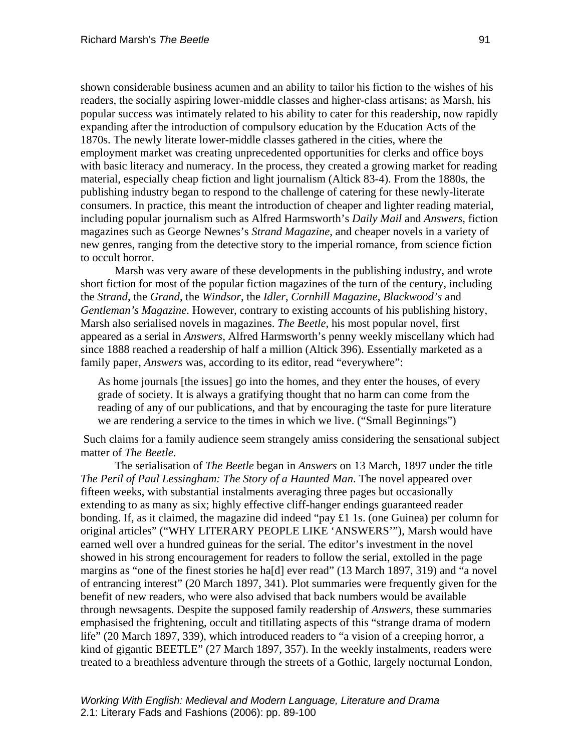shown considerable business acumen and an ability to tailor his fiction to the wishes of his readers, the socially aspiring lower-middle classes and higher-class artisans; as Marsh, his popular success was intimately related to his ability to cater for this readership, now rapidly expanding after the introduction of compulsory education by the Education Acts of the 1870s. The newly literate lower-middle classes gathered in the cities, where the employment market was creating unprecedented opportunities for clerks and office boys with basic literacy and numeracy. In the process, they created a growing market for reading material, especially cheap fiction and light journalism (Altick 83-4). From the 1880s, the publishing industry began to respond to the challenge of catering for these newly-literate consumers. In practice, this meant the introduction of cheaper and lighter reading material, including popular journalism such as Alfred Harmsworth's *Daily Mail* and *Answers*, fiction magazines such as George Newnes's *Strand Magazine*, and cheaper novels in a variety of new genres, ranging from the detective story to the imperial romance, from science fiction to occult horror.

Marsh was very aware of these developments in the publishing industry, and wrote short fiction for most of the popular fiction magazines of the turn of the century, including the *Strand*, the *Grand*, the *Windsor*, the *Idler*, *Cornhill Magazine*, *Blackwood's* and *Gentleman's Magazine*. However, contrary to existing accounts of his publishing history, Marsh also serialised novels in magazines. *The Beetle*, his most popular novel, first appeared as a serial in *Answers*, Alfred Harmsworth's penny weekly miscellany which had since 1888 reached a readership of half a million (Altick 396). Essentially marketed as a family paper, *Answers* was, according to its editor, read "everywhere":

As home journals [the issues] go into the homes, and they enter the houses, of every grade of society. It is always a gratifying thought that no harm can come from the reading of any of our publications, and that by encouraging the taste for pure literature we are rendering a service to the times in which we live. ("Small Beginnings")

 Such claims for a family audience seem strangely amiss considering the sensational subject matter of *The Beetle*.

The serialisation of *The Beetle* began in *Answers* on 13 March, 1897 under the title *The Peril of Paul Lessingham: The Story of a Haunted Man*. The novel appeared over fifteen weeks, with substantial instalments averaging three pages but occasionally extending to as many as six; highly effective cliff-hanger endings guaranteed reader bonding. If, as it claimed, the magazine did indeed "pay £1 1s. (one Guinea) per column for original articles" ("WHY LITERARY PEOPLE LIKE 'ANSWERS'"), Marsh would have earned well over a hundred guineas for the serial. The editor's investment in the novel showed in his strong encouragement for readers to follow the serial, extolled in the page margins as "one of the finest stories he ha[d] ever read" (13 March 1897, 319) and "a novel of entrancing interest" (20 March 1897, 341). Plot summaries were frequently given for the benefit of new readers, who were also advised that back numbers would be available through newsagents. Despite the supposed family readership of *Answers*, these summaries emphasised the frightening, occult and titillating aspects of this "strange drama of modern life" (20 March 1897, 339), which introduced readers to "a vision of a creeping horror, a kind of gigantic BEETLE" (27 March 1897, 357). In the weekly instalments, readers were treated to a breathless adventure through the streets of a Gothic, largely nocturnal London,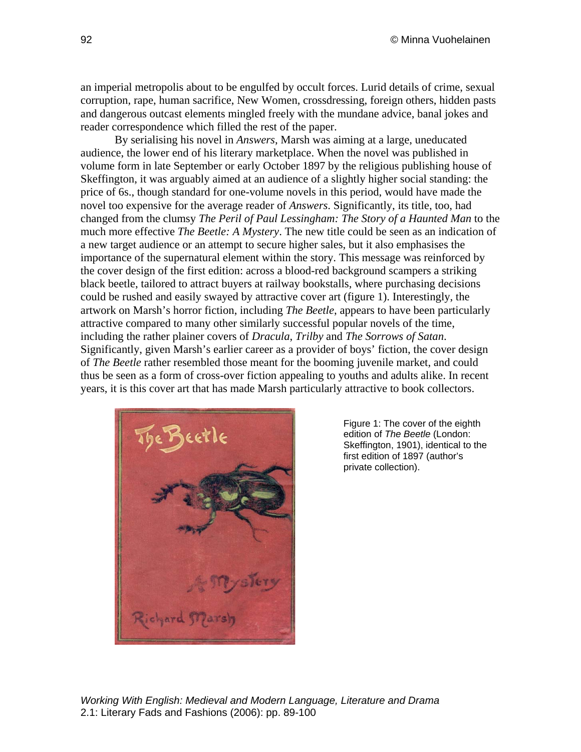an imperial metropolis about to be engulfed by occult forces. Lurid details of crime, sexual corruption, rape, human sacrifice, New Women, crossdressing, foreign others, hidden pasts and dangerous outcast elements mingled freely with the mundane advice, banal jokes and reader correspondence which filled the rest of the paper.

By serialising his novel in *Answers*, Marsh was aiming at a large, uneducated audience, the lower end of his literary marketplace. When the novel was published in volume form in late September or early October 1897 by the religious publishing house of Skeffington, it was arguably aimed at an audience of a slightly higher social standing: the price of 6s., though standard for one-volume novels in this period, would have made the novel too expensive for the average reader of *Answers*. Significantly, its title, too, had changed from the clumsy *The Peril of Paul Lessingham: The Story of a Haunted Man* to the much more effective *The Beetle: A Mystery*. The new title could be seen as an indication of a new target audience or an attempt to secure higher sales, but it also emphasises the importance of the supernatural element within the story. This message was reinforced by the cover design of the first edition: across a blood-red background scampers a striking black beetle, tailored to attract buyers at railway bookstalls, where purchasing decisions could be rushed and easily swayed by attractive cover art (figure 1). Interestingly, the artwork on Marsh's horror fiction, including *The Beetle*, appears to have been particularly attractive compared to many other similarly successful popular novels of the time, including the rather plainer covers of *Dracula*, *Trilby* and *The Sorrows of Satan*. Significantly, given Marsh's earlier career as a provider of boys' fiction, the cover design of *The Beetle* rather resembled those meant for the booming juvenile market, and could thus be seen as a form of cross-over fiction appealing to youths and adults alike. In recent years, it is this cover art that has made Marsh particularly attractive to book collectors.



Figure 1: The cover of the eighth edition of *The Beetle* (London: Skeffington, 1901), identical to the first edition of 1897 (author's private collection).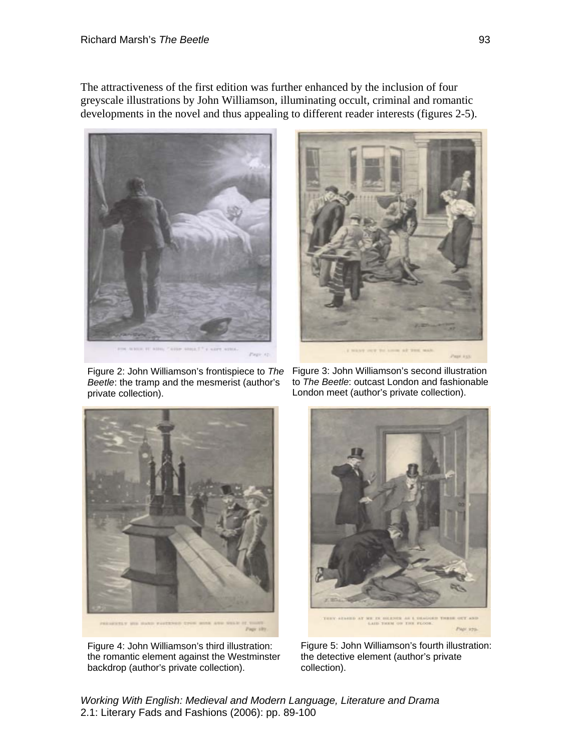The attractiveness of the first edition was further enhanced by the inclusion of four greyscale illustrations by John Williamson, illuminating occult, criminal and romantic developments in the novel and thus appealing to different reader interests (figures 2-5).





Figure 2: John Williamson's frontispiece to *The Beetle*: the tramp and the mesmerist (author's private collection).

Figure 3: John Williamson's second illustration to *The Beetle*: outcast London and fashionable London meet (author's private collection).



Figure 4: John Williamson's third illustration: the romantic element against the Westminster backdrop (author's private collection).



Figure 5: John Williamson's fourth illustration: the detective element (author's private collection).

*Working With English: Medieval and Modern Language, Literature and Drama*  2.1: Literary Fads and Fashions (2006): pp. 89-100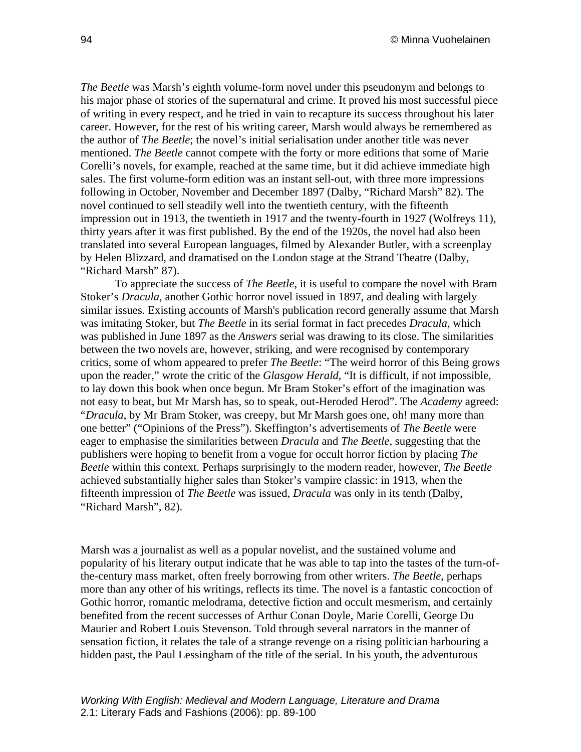*The Beetle* was Marsh's eighth volume-form novel under this pseudonym and belongs to his major phase of stories of the supernatural and crime. It proved his most successful piece of writing in every respect, and he tried in vain to recapture its success throughout his later career. However, for the rest of his writing career, Marsh would always be remembered as the author of *The Beetle*; the novel's initial serialisation under another title was never mentioned. *The Beetle* cannot compete with the forty or more editions that some of Marie Corelli's novels, for example, reached at the same time, but it did achieve immediate high sales. The first volume-form edition was an instant sell-out, with three more impressions following in October, November and December 1897 (Dalby, "Richard Marsh" 82). The novel continued to sell steadily well into the twentieth century, with the fifteenth impression out in 1913, the twentieth in 1917 and the twenty-fourth in 1927 (Wolfreys 11), thirty years after it was first published. By the end of the 1920s, the novel had also been translated into several European languages, filmed by Alexander Butler, with a screenplay by Helen Blizzard, and dramatised on the London stage at the Strand Theatre (Dalby, "Richard Marsh" 87).

To appreciate the success of *The Beetle*, it is useful to compare the novel with Bram Stoker's *Dracula*, another Gothic horror novel issued in 1897, and dealing with largely similar issues. Existing accounts of Marsh's publication record generally assume that Marsh was imitating Stoker, but *The Beetle* in its serial format in fact precedes *Dracula*, which was published in June 1897 as the *Answers* serial was drawing to its close. The similarities between the two novels are, however, striking, and were recognised by contemporary critics, some of whom appeared to prefer *The Beetle*: "The weird horror of this Being grows upon the reader," wrote the critic of the *Glasgow Herald*, "It is difficult, if not impossible, to lay down this book when once begun. Mr Bram Stoker's effort of the imagination was not easy to beat, but Mr Marsh has, so to speak, out-Heroded Herod". The *Academy* agreed: "*Dracula*, by Mr Bram Stoker, was creepy, but Mr Marsh goes one, oh! many more than one better" ("Opinions of the Press"). Skeffington's advertisements of *The Beetle* were eager to emphasise the similarities between *Dracula* and *The Beetle*, suggesting that the publishers were hoping to benefit from a vogue for occult horror fiction by placing *The Beetle* within this context. Perhaps surprisingly to the modern reader, however, *The Beetle* achieved substantially higher sales than Stoker's vampire classic: in 1913, when the fifteenth impression of *The Beetle* was issued, *Dracula* was only in its tenth (Dalby, "Richard Marsh", 82).

Marsh was a journalist as well as a popular novelist, and the sustained volume and popularity of his literary output indicate that he was able to tap into the tastes of the turn-ofthe-century mass market, often freely borrowing from other writers. *The Beetle*, perhaps more than any other of his writings, reflects its time. The novel is a fantastic concoction of Gothic horror, romantic melodrama, detective fiction and occult mesmerism, and certainly benefited from the recent successes of Arthur Conan Doyle, Marie Corelli, George Du Maurier and Robert Louis Stevenson. Told through several narrators in the manner of sensation fiction, it relates the tale of a strange revenge on a rising politician harbouring a hidden past, the Paul Lessingham of the title of the serial. In his youth, the adventurous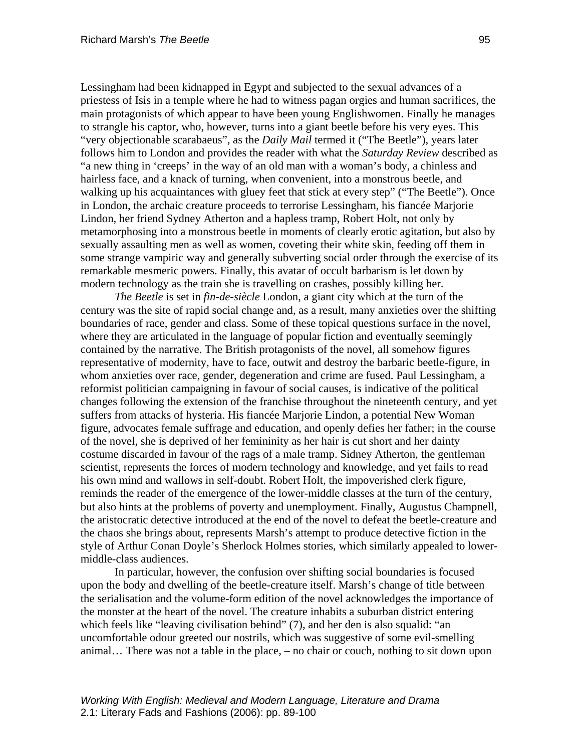Lessingham had been kidnapped in Egypt and subjected to the sexual advances of a priestess of Isis in a temple where he had to witness pagan orgies and human sacrifices, the main protagonists of which appear to have been young Englishwomen. Finally he manages to strangle his captor, who, however, turns into a giant beetle before his very eyes. This "very objectionable scarabaeus", as the *Daily Mail* termed it ("The Beetle"), years later follows him to London and provides the reader with what the *Saturday Review* described as "a new thing in 'creeps' in the way of an old man with a woman's body, a chinless and hairless face, and a knack of turning, when convenient, into a monstrous beetle, and walking up his acquaintances with gluey feet that stick at every step" ("The Beetle"). Once in London, the archaic creature proceeds to terrorise Lessingham, his fiancée Marjorie Lindon, her friend Sydney Atherton and a hapless tramp, Robert Holt, not only by metamorphosing into a monstrous beetle in moments of clearly erotic agitation, but also by sexually assaulting men as well as women, coveting their white skin, feeding off them in some strange vampiric way and generally subverting social order through the exercise of its remarkable mesmeric powers. Finally, this avatar of occult barbarism is let down by modern technology as the train she is travelling on crashes, possibly killing her.

*The Beetle* is set in *fin-de-siècle* London, a giant city which at the turn of the century was the site of rapid social change and, as a result, many anxieties over the shifting boundaries of race, gender and class. Some of these topical questions surface in the novel, where they are articulated in the language of popular fiction and eventually seemingly contained by the narrative. The British protagonists of the novel, all somehow figures representative of modernity, have to face, outwit and destroy the barbaric beetle-figure, in whom anxieties over race, gender, degeneration and crime are fused. Paul Lessingham, a reformist politician campaigning in favour of social causes, is indicative of the political changes following the extension of the franchise throughout the nineteenth century, and yet suffers from attacks of hysteria. His fiancée Marjorie Lindon, a potential New Woman figure, advocates female suffrage and education, and openly defies her father; in the course of the novel, she is deprived of her femininity as her hair is cut short and her dainty costume discarded in favour of the rags of a male tramp. Sidney Atherton, the gentleman scientist, represents the forces of modern technology and knowledge, and yet fails to read his own mind and wallows in self-doubt. Robert Holt, the impoverished clerk figure, reminds the reader of the emergence of the lower-middle classes at the turn of the century, but also hints at the problems of poverty and unemployment. Finally, Augustus Champnell, the aristocratic detective introduced at the end of the novel to defeat the beetle-creature and the chaos she brings about, represents Marsh's attempt to produce detective fiction in the style of Arthur Conan Doyle's Sherlock Holmes stories, which similarly appealed to lowermiddle-class audiences.

In particular, however, the confusion over shifting social boundaries is focused upon the body and dwelling of the beetle-creature itself. Marsh's change of title between the serialisation and the volume-form edition of the novel acknowledges the importance of the monster at the heart of the novel. The creature inhabits a suburban district entering which feels like "leaving civilisation behind" (7), and her den is also squalid: "an uncomfortable odour greeted our nostrils, which was suggestive of some evil-smelling animal… There was not a table in the place, – no chair or couch, nothing to sit down upon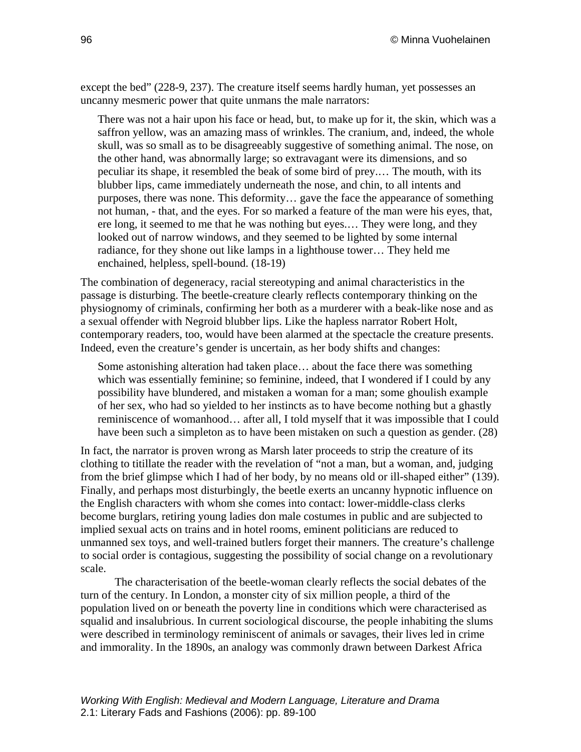except the bed" (228-9, 237). The creature itself seems hardly human, yet possesses an uncanny mesmeric power that quite unmans the male narrators:

There was not a hair upon his face or head, but, to make up for it, the skin, which was a saffron yellow, was an amazing mass of wrinkles. The cranium, and, indeed, the whole skull, was so small as to be disagreeably suggestive of something animal. The nose, on the other hand, was abnormally large; so extravagant were its dimensions, and so peculiar its shape, it resembled the beak of some bird of prey.… The mouth, with its blubber lips, came immediately underneath the nose, and chin, to all intents and purposes, there was none. This deformity… gave the face the appearance of something not human, - that, and the eyes. For so marked a feature of the man were his eyes, that, ere long, it seemed to me that he was nothing but eyes.… They were long, and they looked out of narrow windows, and they seemed to be lighted by some internal radiance, for they shone out like lamps in a lighthouse tower… They held me enchained, helpless, spell-bound. (18-19)

The combination of degeneracy, racial stereotyping and animal characteristics in the passage is disturbing. The beetle-creature clearly reflects contemporary thinking on the physiognomy of criminals, confirming her both as a murderer with a beak-like nose and as a sexual offender with Negroid blubber lips. Like the hapless narrator Robert Holt, contemporary readers, too, would have been alarmed at the spectacle the creature presents. Indeed, even the creature's gender is uncertain, as her body shifts and changes:

Some astonishing alteration had taken place… about the face there was something which was essentially feminine; so feminine, indeed, that I wondered if I could by any possibility have blundered, and mistaken a woman for a man; some ghoulish example of her sex, who had so yielded to her instincts as to have become nothing but a ghastly reminiscence of womanhood… after all, I told myself that it was impossible that I could have been such a simpleton as to have been mistaken on such a question as gender. (28)

In fact, the narrator is proven wrong as Marsh later proceeds to strip the creature of its clothing to titillate the reader with the revelation of "not a man, but a woman, and, judging from the brief glimpse which I had of her body, by no means old or ill-shaped either" (139). Finally, and perhaps most disturbingly, the beetle exerts an uncanny hypnotic influence on the English characters with whom she comes into contact: lower-middle-class clerks become burglars, retiring young ladies don male costumes in public and are subjected to implied sexual acts on trains and in hotel rooms, eminent politicians are reduced to unmanned sex toys, and well-trained butlers forget their manners. The creature's challenge to social order is contagious, suggesting the possibility of social change on a revolutionary scale.

The characterisation of the beetle-woman clearly reflects the social debates of the turn of the century. In London, a monster city of six million people, a third of the population lived on or beneath the poverty line in conditions which were characterised as squalid and insalubrious. In current sociological discourse, the people inhabiting the slums were described in terminology reminiscent of animals or savages, their lives led in crime and immorality. In the 1890s, an analogy was commonly drawn between Darkest Africa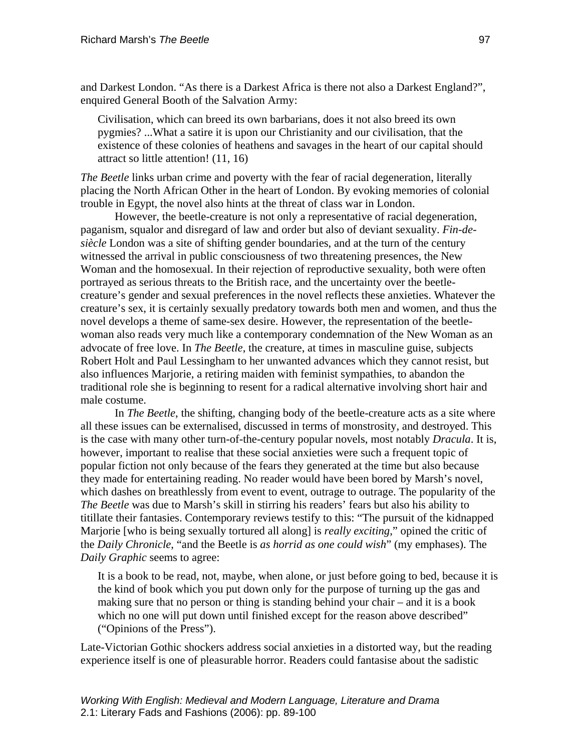and Darkest London. "As there is a Darkest Africa is there not also a Darkest England?", enquired General Booth of the Salvation Army:

Civilisation, which can breed its own barbarians, does it not also breed its own pygmies? ...What a satire it is upon our Christianity and our civilisation, that the existence of these colonies of heathens and savages in the heart of our capital should attract so little attention! (11, 16)

*The Beetle* links urban crime and poverty with the fear of racial degeneration, literally placing the North African Other in the heart of London. By evoking memories of colonial trouble in Egypt, the novel also hints at the threat of class war in London.

However, the beetle-creature is not only a representative of racial degeneration, paganism, squalor and disregard of law and order but also of deviant sexuality. *Fin-desiècle* London was a site of shifting gender boundaries, and at the turn of the century witnessed the arrival in public consciousness of two threatening presences, the New Woman and the homosexual. In their rejection of reproductive sexuality, both were often portrayed as serious threats to the British race, and the uncertainty over the beetlecreature's gender and sexual preferences in the novel reflects these anxieties. Whatever the creature's sex, it is certainly sexually predatory towards both men and women, and thus the novel develops a theme of same-sex desire. However, the representation of the beetlewoman also reads very much like a contemporary condemnation of the New Woman as an advocate of free love. In *The Beetle*, the creature, at times in masculine guise, subjects Robert Holt and Paul Lessingham to her unwanted advances which they cannot resist, but also influences Marjorie, a retiring maiden with feminist sympathies, to abandon the traditional role she is beginning to resent for a radical alternative involving short hair and male costume.

In *The Beetle*, the shifting, changing body of the beetle-creature acts as a site where all these issues can be externalised, discussed in terms of monstrosity, and destroyed. This is the case with many other turn-of-the-century popular novels, most notably *Dracula*. It is, however, important to realise that these social anxieties were such a frequent topic of popular fiction not only because of the fears they generated at the time but also because they made for entertaining reading. No reader would have been bored by Marsh's novel, which dashes on breathlessly from event to event, outrage to outrage. The popularity of the *The Beetle* was due to Marsh's skill in stirring his readers' fears but also his ability to titillate their fantasies. Contemporary reviews testify to this: "The pursuit of the kidnapped Marjorie [who is being sexually tortured all along] is *really exciting*," opined the critic of the *Daily Chronicle*, "and the Beetle is *as horrid as one could wish*" (my emphases). The *Daily Graphic* seems to agree:

It is a book to be read, not, maybe, when alone, or just before going to bed, because it is the kind of book which you put down only for the purpose of turning up the gas and making sure that no person or thing is standing behind your chair – and it is a book which no one will put down until finished except for the reason above described" ("Opinions of the Press").

Late-Victorian Gothic shockers address social anxieties in a distorted way, but the reading experience itself is one of pleasurable horror. Readers could fantasise about the sadistic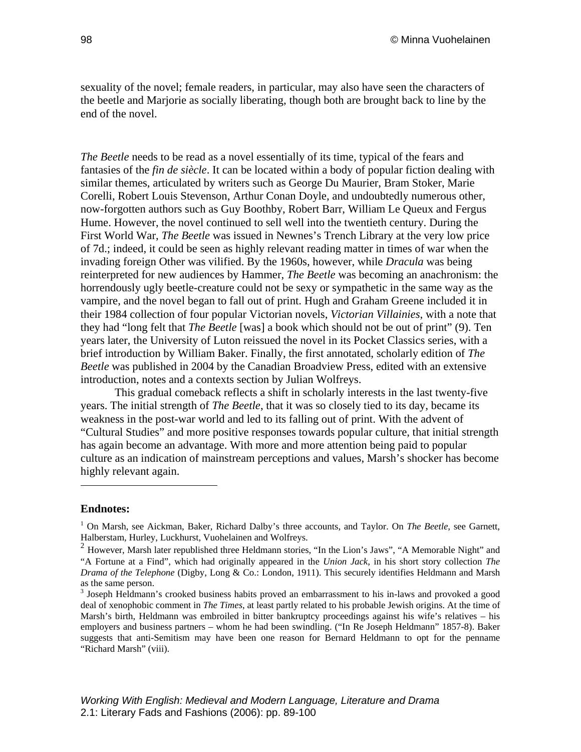sexuality of the novel; female readers, in particular, may also have seen the characters of the beetle and Marjorie as socially liberating, though both are brought back to line by the end of the novel.

*The Beetle* needs to be read as a novel essentially of its time, typical of the fears and fantasies of the *fin de siècle*. It can be located within a body of popular fiction dealing with similar themes, articulated by writers such as George Du Maurier, Bram Stoker, Marie Corelli, Robert Louis Stevenson, Arthur Conan Doyle, and undoubtedly numerous other, now-forgotten authors such as Guy Boothby, Robert Barr, William Le Queux and Fergus Hume. However, the novel continued to sell well into the twentieth century. During the First World War, *The Beetle* was issued in Newnes's Trench Library at the very low price of 7d.; indeed, it could be seen as highly relevant reading matter in times of war when the invading foreign Other was vilified. By the 1960s, however, while *Dracula* was being reinterpreted for new audiences by Hammer, *The Beetle* was becoming an anachronism: the horrendously ugly beetle-creature could not be sexy or sympathetic in the same way as the vampire, and the novel began to fall out of print. Hugh and Graham Greene included it in their 1984 collection of four popular Victorian novels, *Victorian Villainies*, with a note that they had "long felt that *The Beetle* [was] a book which should not be out of print" (9). Ten years later, the University of Luton reissued the novel in its Pocket Classics series, with a brief introduction by William Baker. Finally, the first annotated, scholarly edition of *The Beetle* was published in 2004 by the Canadian Broadview Press, edited with an extensive introduction, notes and a contexts section by Julian Wolfreys.

This gradual comeback reflects a shift in scholarly interests in the last twenty-five years. The initial strength of *The Beetle*, that it was so closely tied to its day, became its weakness in the post-war world and led to its falling out of print. With the advent of "Cultural Studies" and more positive responses towards popular culture, that initial strength has again become an advantage. With more and more attention being paid to popular culture as an indication of mainstream perceptions and values, Marsh's shocker has become highly relevant again.

#### <span id="page-10-0"></span>**Endnotes:**

 $\overline{a}$ 

<sup>1</sup> On Marsh, see Aickman, Baker, Richard Dalby's three accounts, and Taylor. On *The Beetle*, see Garnett, Halberstam, Hurley, Luckhurst, Vuohelainen and Wolfreys.

<span id="page-10-1"></span> $2$  However, Marsh later republished three Heldmann stories, "In the Lion's Jaws", "A Memorable Night" and "A Fortune at a Find", which had originally appeared in the *Union Jack*, in his short story collection *The Drama of the Telephone* (Digby, Long & Co.: London, 1911). This securely identifies Heldmann and Marsh as the same person.

<span id="page-10-2"></span><sup>&</sup>lt;sup>3</sup> Joseph Heldmann's crooked business habits proved an embarrassment to his in-laws and provoked a good deal of xenophobic comment in *The Times*, at least partly related to his probable Jewish origins. At the time of Marsh's birth, Heldmann was embroiled in bitter bankruptcy proceedings against his wife's relatives – his employers and business partners – whom he had been swindling. ("In Re Joseph Heldmann" 1857-8). Baker suggests that anti-Semitism may have been one reason for Bernard Heldmann to opt for the penname "Richard Marsh" (viii).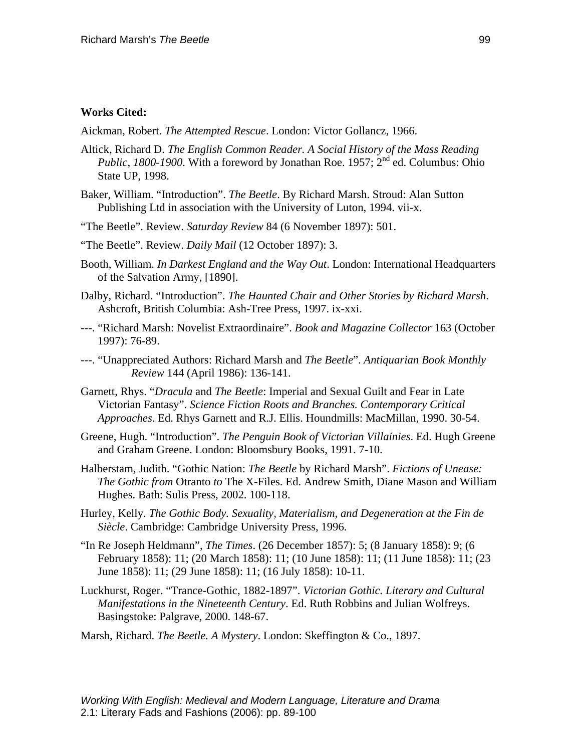#### **Works Cited:**

Aickman, Robert. *The Attempted Rescue*. London: Victor Gollancz, 1966.

- Altick, Richard D. *The English Common Reader. A Social History of the Mass Reading Public, 1800-1900.* With a foreword by Jonathan Roe. 1957;  $2^{nd}$  ed. Columbus: Ohio State UP, 1998.
- Baker, William. "Introduction". *The Beetle*. By Richard Marsh. Stroud: Alan Sutton Publishing Ltd in association with the University of Luton, 1994. vii-x.
- "The Beetle". Review. *Saturday Review* 84 (6 November 1897): 501.
- "The Beetle". Review. *Daily Mail* (12 October 1897): 3.
- Booth, William. *In Darkest England and the Way Out*. London: International Headquarters of the Salvation Army, [1890].
- Dalby, Richard. "Introduction". *The Haunted Chair and Other Stories by Richard Marsh*. Ashcroft, British Columbia: Ash-Tree Press, 1997. ix-xxi.
- ---. "Richard Marsh: Novelist Extraordinaire". *Book and Magazine Collector* 163 (October 1997): 76-89.
- ---. "Unappreciated Authors: Richard Marsh and *The Beetle*". *Antiquarian Book Monthly Review* 144 (April 1986): 136-141.
- Garnett, Rhys. "*Dracula* and *The Beetle*: Imperial and Sexual Guilt and Fear in Late Victorian Fantasy". *Science Fiction Roots and Branches. Contemporary Critical Approaches*. Ed. Rhys Garnett and R.J. Ellis. Houndmills: MacMillan, 1990. 30-54.
- Greene, Hugh. "Introduction". *The Penguin Book of Victorian Villainies*. Ed. Hugh Greene and Graham Greene. London: Bloomsbury Books, 1991. 7-10.
- Halberstam, Judith. "Gothic Nation: *The Beetle* by Richard Marsh". *Fictions of Unease: The Gothic from* Otranto *to* The X-Files. Ed. Andrew Smith, Diane Mason and William Hughes. Bath: Sulis Press, 2002. 100-118.
- Hurley, Kelly. *The Gothic Body. Sexuality, Materialism, and Degeneration at the Fin de Siècle*. Cambridge: Cambridge University Press, 1996.
- "In Re Joseph Heldmann", *The Times*. (26 December 1857): 5; (8 January 1858): 9; (6 February 1858): 11; (20 March 1858): 11; (10 June 1858): 11; (11 June 1858): 11; (23 June 1858): 11; (29 June 1858): 11; (16 July 1858): 10-11.
- Luckhurst, Roger. "Trance-Gothic, 1882-1897". *Victorian Gothic. Literary and Cultural Manifestations in the Nineteenth Century*. Ed. Ruth Robbins and Julian Wolfreys. Basingstoke: Palgrave, 2000. 148-67.
- Marsh, Richard. *The Beetle. A Mystery*. London: Skeffington & Co., 1897.